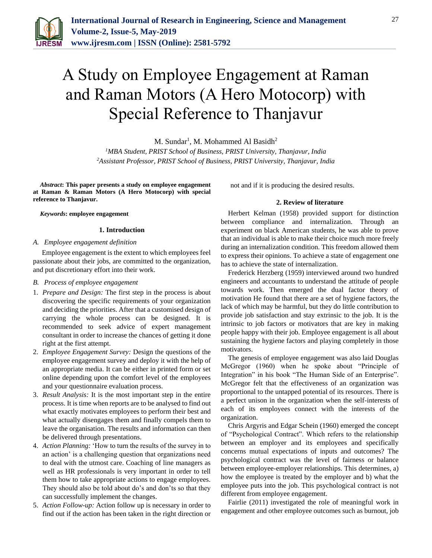

# A Study on Employee Engagement at Raman and Raman Motors (A Hero Motocorp) with Special Reference to Thanjavur

M. Sundar<sup>1</sup>, M. Mohammed Al Basidh<sup>2</sup>

*<sup>1</sup>MBA Student, PRIST School of Business, PRIST University, Thanjavur, India 2Assistant Professor, PRIST School of Business, PRIST University, Thanjavur, India*

*Abstract***: This paper presents a study on employee engagement at Raman & Raman Motors (A Hero Motocorp) with special reference to Thanjavur.**

*Keywords***: employee engagement**

#### **1. Introduction**

# *A. Employee engagement definition*

Employee engagement is the extent to which employees feel passionate about their jobs, are committed to the organization, and put discretionary effort into their work.

#### *B. Process of employee engagement*

- 1. *Prepare and Design:* The first step in the process is about discovering the specific requirements of your organization and deciding the priorities. After that a customised design of carrying the whole process can be designed. It is recommended to seek advice of expert management consultant in order to increase the chances of getting it done right at the first attempt.
- 2. *Employee Engagement Survey:* Design the questions of the employee engagement survey and deploy it with the help of an appropriate media. It can be either in printed form or set online depending upon the comfort level of the employees and your questionnaire evaluation process.
- 3. *Result Analysis:* It is the most important step in the entire process. It is time when reports are to be analysed to find out what exactly motivates employees to perform their best and what actually disengages them and finally compels them to leave the organisation. The results and information can then be delivered through presentations.
- 4. *Action Planning:* 'How to turn the results of the survey in to an action' is a challenging question that organizations need to deal with the utmost care. Coaching of line managers as well as HR professionals is very important in order to tell them how to take appropriate actions to engage employees. They should also be told about do's and don'ts so that they can successfully implement the changes.
- 5. *Action Follow-up:* Action follow up is necessary in order to find out if the action has been taken in the right direction or

not and if it is producing the desired results.

#### **2. Review of literature**

Herbert Kelman (1958) provided support for distinction between compliance and internalization. Through an experiment on black American students, he was able to prove that an individual is able to make their choice much more freely during an internalization condition. This freedom allowed them to express their opinions. To achieve a state of engagement one has to achieve the state of internalization.

Frederick Herzberg (1959) interviewed around two hundred engineers and accountants to understand the attitude of people towards work. Then emerged the dual factor theory of motivation He found that there are a set of hygiene factors, the lack of which may be harmful, but they do little contribution to provide job satisfaction and stay extrinsic to the job. It is the intrinsic to job factors or motivators that are key in making people happy with their job. Employee engagement is all about sustaining the hygiene factors and playing completely in those motivators.

The genesis of employee engagement was also laid Douglas McGregor (1960) when he spoke about "Principle of Integration" in his book "The Human Side of an Enterprise". McGregor felt that the effectiveness of an organization was proportional to the untapped potential of its resources. There is a perfect unison in the organization when the self-interests of each of its employees connect with the interests of the organization.

Chris Argyris and Edgar Schein (1960) emerged the concept of "Psychological Contract". Which refers to the relationship between an employer and its employees and specifically concerns mutual expectations of inputs and outcomes? The psychological contract was the level of fairness or balance between employee-employer relationships. This determines, a) how the employee is treated by the employer and b) what the employee puts into the job. This psychological contract is not different from employee engagement.

Fairlie (2011) investigated the role of meaningful work in engagement and other employee outcomes such as burnout, job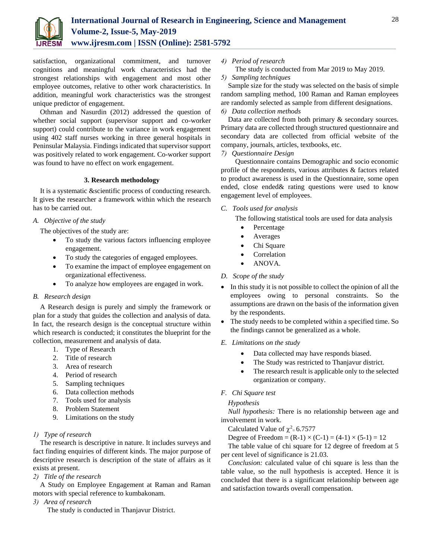

satisfaction, organizational commitment, and turnover cognitions and meaningful work characteristics had the strongest relationships with engagement and most other employee outcomes, relative to other work characteristics. In addition, meaningful work characteristics was the strongest unique predictor of engagement.

Othman and Nasurdin (2012) addressed the question of whether social support (supervisor support and co-worker support) could contribute to the variance in work engagement using 402 staff nurses working in three general hospitals in Peninsular Malaysia. Findings indicated that supervisor support was positively related to work engagement. Co-worker support was found to have no effect on work engagement.

#### **3. Research methodology**

It is a systematic &scientific process of conducting research. It gives the researcher a framework within which the research has to be carried out.

# *A. Objective of the study*

The objectives of the study are:

- To study the various factors influencing employee engagement.
- To study the categories of engaged employees.
- To examine the impact of employee engagement on organizational effectiveness.
- To analyze how employees are engaged in work.

# *B. Research design*

A Research design is purely and simply the framework or plan for a study that guides the collection and analysis of data. In fact, the research design is the conceptual structure within which research is conducted; it constitutes the blueprint for the collection, measurement and analysis of data.

- 1. Type of Research
- 2. Title of research
- 3. Area of research
- 4. Period of research
- 5. Sampling techniques
- 6. Data collection methods
- 7. Tools used for analysis
- 8. Problem Statement
- 9. Limitations on the study

# *1) Type of research*

The research is descriptive in nature. It includes surveys and fact finding enquiries of different kinds. The major purpose of descriptive research is description of the state of affairs as it exists at present.

*2) Title of the research*

A Study on Employee Engagement at Raman and Raman motors with special reference to kumbakonam.

*3) Area of research*

The study is conducted in Thanjavur District.

- *4) Period of research*
	- The study is conducted from Mar 2019 to May 2019.

#### *5) Sampling techniques*

Sample size for the study was selected on the basis of simple random sampling method, 100 Raman and Raman employees are randomly selected as sample from different designations.

#### *6) Data collection methods*

Data are collected from both primary & secondary sources. Primary data are collected through structured questionnaire and secondary data are collected from official website of the company, journals, articles, textbooks, etc.

#### *7) Questionnaire Design*

Questionnaire contains Demographic and socio economic profile of the respondents, various attributes & factors related to product awareness is used in the Questionnaire, some open ended, close ended& rating questions were used to know engagement level of employees.

#### *C. Tools used for analysis*

The following statistical tools are used for data analysis

- Percentage
- Averages
- Chi Square
- Correlation
- ANOVA.

# *D. Scope of the study*

- In this study it is not possible to collect the opinion of all the employees owing to personal constraints. So the assumptions are drawn on the basis of the information given by the respondents.
- The study needs to be completed within a specified time. So the findings cannot be generalized as a whole.
- *E. Limitations on the study*
	- Data collected may have responds biased.
	- The Study was restricted to Thanjavur district.
	- The research result is applicable only to the selected organization or company.

# *F. Chi Square test*

# *Hypothesis*

*Null hypothesis:* There is no relationship between age and involvement in work.

Calculated Value of  $\chi^2 = 6.7577$ 

Degree of Freedom =  $(R-1) \times (C-1) = (4-1) \times (5-1) = 12$ 

The table value of chi square for 12 degree of freedom at 5 per cent level of significance is 21.03.

*Conclusion:* calculated value of chi square is less than the table value, so the null hypothesis is accepted. Hence it is concluded that there is a significant relationship between age and satisfaction towards overall compensation.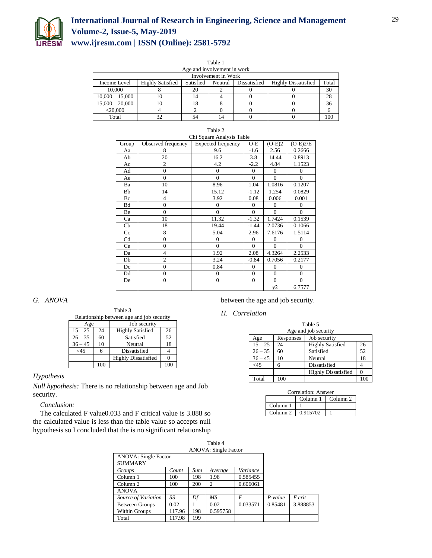

| Table 1                     |                                                                                                        |    |  |  |  |     |  |  |
|-----------------------------|--------------------------------------------------------------------------------------------------------|----|--|--|--|-----|--|--|
| Age and involvement in work |                                                                                                        |    |  |  |  |     |  |  |
| Involvement in Work         |                                                                                                        |    |  |  |  |     |  |  |
| Income Level                | Satisfied<br>Dissatisfied<br><b>Highly Satisfied</b><br>Neutral<br><b>Highly Dissatisfied</b><br>Total |    |  |  |  |     |  |  |
| 10,000                      |                                                                                                        | 20 |  |  |  | 30  |  |  |
| $10,000 - 15,000$           | 10                                                                                                     | 14 |  |  |  | 28  |  |  |
| $15,000 - 20,000$           | 10                                                                                                     | 18 |  |  |  | 36  |  |  |
| $<$ 20.000                  |                                                                                                        |    |  |  |  |     |  |  |
| Total                       | 32                                                                                                     | 54 |  |  |  | 100 |  |  |

| Chi Square Analysis Table |                    |                           |                |              |                |
|---------------------------|--------------------|---------------------------|----------------|--------------|----------------|
| Group                     | Observed frequency | <b>Expected frequency</b> | $O-E$          | $(O-E)2$     | $(O-E)2/E$     |
| Aa                        | 8                  | 9.6                       | $-1.6$         | 2.56         | 0.2666         |
| Ab                        | 20                 | 16.2                      | 3.8            | 14.44        | 0.8913         |
| Ac                        | 2                  | 4.2                       | $-2.2$         | 4.84         | 1.1523         |
| Ad                        | $\overline{0}$     | $\overline{0}$            | $\theta$       | $\Omega$     | $\theta$       |
| Ae                        | $\theta$           | $\theta$                  | $\theta$       | $\Omega$     | $\theta$       |
| Ba                        | 10                 | 8.96                      | 1.04           | 1.0816       | 0.1207         |
| Bb                        | 14                 | 15.12                     | $-1.12$        | 1.254        | 0.0829         |
| Bc                        | $\overline{4}$     | 3.92                      | 0.08           | 0.006        | 0.001          |
| Bd                        | $\overline{0}$     | $\overline{0}$            | $\Omega$       | $\Omega$     | $\mathbf{0}$   |
| Be                        | $\overline{0}$     | $\theta$                  | $\theta$       | $\Omega$     | $\Omega$       |
| Ca                        | 10                 | 11.32                     | $-1.32$        | 1.7424       | 0.1539         |
| Cb                        | 18                 | 19.44                     | $-1.44$        | 2.0736       | 0.1066         |
| $_{\rm C}$                | 8                  | 5.04                      | 2.96           | 7.6176       | 1.5114         |
| Cd                        | $\overline{0}$     | $\overline{0}$            | $\theta$       | $\Omega$     | $\overline{0}$ |
| Ce                        | $\overline{0}$     | $\theta$                  | $\theta$       | $\Omega$     | $\theta$       |
| Da                        | $\overline{4}$     | 1.92                      | 2.08           | 4.3264       | 2.2533         |
| Db                        | $\overline{2}$     | 3.24                      | $-0.84$        | 0.7056       | 0.2177         |
| Dc                        | $\overline{0}$     | 0.84                      | $\overline{0}$ | $\mathbf{0}$ | $\mathbf{0}$   |
| Dd                        | $\overline{0}$     | $\overline{0}$            | $\overline{0}$ | $\mathbf{0}$ | $\mathbf{0}$   |
| De                        | $\overline{0}$     | $\overline{0}$            | $\overline{0}$ | $\mathbf{0}$ | $\mathbf{0}$   |
|                           |                    |                           |                | $\chi$ 2     | 6.7577         |

#### Table 2

# *G. ANOVA*

Table 3 Relationship between age and job security

| Age       |     | Job security               |    |  |
|-----------|-----|----------------------------|----|--|
| $15 - 25$ | 24  | <b>Highly Satisfied</b>    | 26 |  |
| $26 - 35$ | 60  | Satisfied                  | 52 |  |
| $36 - 45$ | 10  | Neutral                    | 18 |  |
| $<$ 45    |     | Dissatisfied               |    |  |
|           |     | <b>Highly Dissatisfied</b> |    |  |
|           | 100 |                            |    |  |

## *Hypothesis*

*Null hypothesis:* There is no relationship between age and Job security.

#### *Conclusion:*

The calculated F value0.033 and F critical value is 3.888 so the calculated value is less than the table value so accepts null hypothesis so I concluded that the is no significant relationship

between the age and job security.

*H. Correlation*

| Table 5              |                           |                            |     |  |  |  |
|----------------------|---------------------------|----------------------------|-----|--|--|--|
| Age and job security |                           |                            |     |  |  |  |
| Age                  | Job security<br>Responses |                            |     |  |  |  |
| $15 - 25$            | 24                        | <b>Highly Satisfied</b>    | 26  |  |  |  |
| $26 - 35$            | 60                        | Satisfied                  | 52  |  |  |  |
| $36 - 45$            | 10                        | Neutral                    | 18  |  |  |  |
| $<$ 45               | 6                         | Dissatisfied               |     |  |  |  |
|                      |                           | <b>Highly Dissatisfied</b> |     |  |  |  |
| Total                | 100                       |                            | 100 |  |  |  |

| Correlation: Answer |                     |  |  |  |  |
|---------------------|---------------------|--|--|--|--|
|                     | Column <sub>2</sub> |  |  |  |  |
| Column <sub>1</sub> |                     |  |  |  |  |
| Column <sub>2</sub> | 0.915702            |  |  |  |  |

|                             |        |     | тавне 4                     |          |           |          |
|-----------------------------|--------|-----|-----------------------------|----------|-----------|----------|
|                             |        |     | <b>ANOVA: Single Factor</b> |          |           |          |
| <b>ANOVA: Single Factor</b> |        |     |                             |          |           |          |
| <b>SUMMARY</b>              |        |     |                             |          |           |          |
| Groups                      | Count  | Sum | Average                     | Variance |           |          |
| Column 1                    | 100    | 198 | 1.98                        | 0.585455 |           |          |
| Column 2                    | 100    | 200 | 2                           | 0.606061 |           |          |
| <b>ANOVA</b>                |        |     |                             |          |           |          |
| Source of Variation         | SS     | Df  | MS                          | F        | $P-value$ | F crit   |
| <b>Between Groups</b>       | 0.02   |     | 0.02                        | 0.033571 | 0.85481   | 3.888853 |
| Within Groups               | 117.96 | 198 | 0.595758                    |          |           |          |
| Total                       | 117.98 | 199 |                             |          |           |          |

 $T = 1.1 - 4$